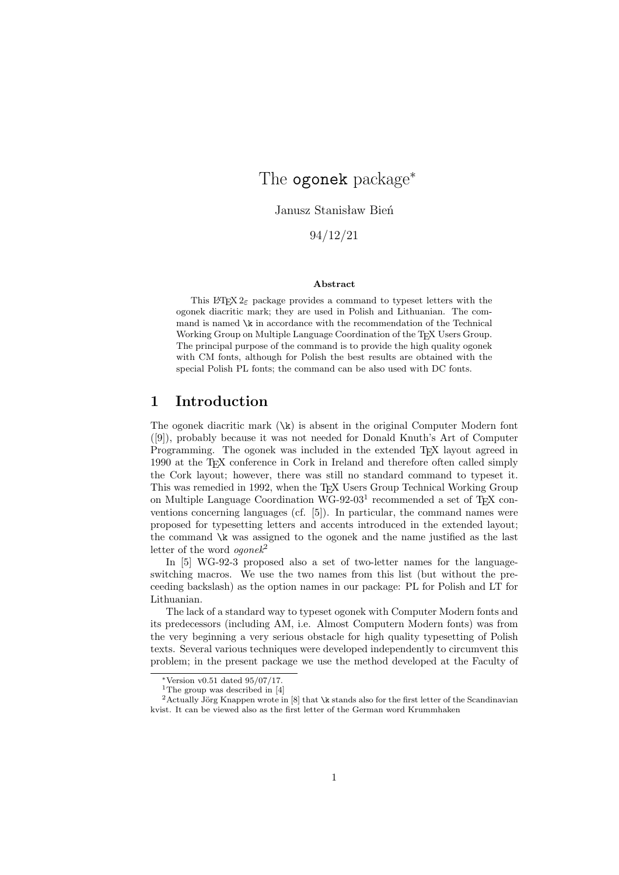# The ogonek package<sup>∗</sup>

Janusz Stanisław Bień

94/12/21

#### **Abstract**

This LATEX  $2\varepsilon$  package provides a command to typeset letters with the ogonek diacritic mark; they are used in Polish and Lithuanian. The command is named  $\kappa$  in accordance with the recommendation of the Technical Working Group on Multiple Language Coordination of the TEX Users Group. The principal purpose of the command is to provide the high quality ogonek with CM fonts, although for Polish the best results are obtained with the special Polish PL fonts; the command can be also used with DC fonts.

## **1 Introduction**

The ogonek diacritic mark  $(\kappa)$  is absent in the original Computer Modern font ([9]), probably because it was not needed for Donald Knuth's Art of Computer Programming. The ogonek was included in the extended T<sub>EX</sub> layout agreed in 1990 at the TEX conference in Cork in Ireland and therefore often called simply the Cork layout; however, there was still no standard command to typeset it. This was remedied in 1992, when the T<sub>EX</sub> Users Group Technical Working Group on Multiple Language Coordination WG-92-03<sup>1</sup> recommended a set of T<sub>E</sub>X conventions concerning languages (cf. [5]). In particular, the command names were proposed for typesetting letters and accents introduced in the extended layout; the command \k was assigned to the ogonek and the name justified as the last letter of the word *ogonek*<sup>2</sup>

In [5] WG-92-3 proposed also a set of two-letter names for the languageswitching macros. We use the two names from this list (but without the preceeding backslash) as the option names in our package: PL for Polish and LT for Lithuanian.

The lack of a standard way to typeset ogonek with Computer Modern fonts and its predecessors (including AM, i.e. Almost Computern Modern fonts) was from the very beginning a very serious obstacle for high quality typesetting of Polish texts. Several various techniques were developed independently to circumvent this problem; in the present package we use the method developed at the Faculty of

<sup>∗</sup>Version v0.51 dated 95/07/17.

<sup>&</sup>lt;sup>1</sup>The group was described in  $[4]$ 

<sup>&</sup>lt;sup>2</sup> Actually Jörg Knappen wrote in [8] that \k stands also for the first letter of the Scandinavian kvist. It can be viewed also as the first letter of the German word Krummhaken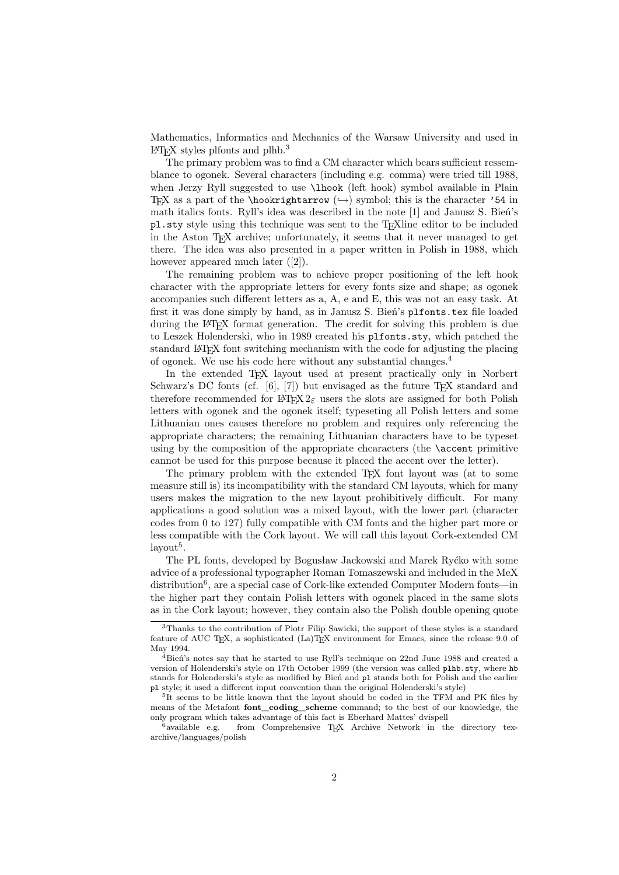Mathematics, Informatics and Mechanics of the Warsaw University and used in  $\text{LATEX}$  styles plfonts and plhb.<sup>3</sup>

The primary problem was to find a CM character which bears sufficient ressemblance to ogonek. Several characters (including e.g. comma) were tried till 1988, when Jerzy Ryll suggested to use \lhook (left hook) symbol available in Plain TEX as a part of the \hookrightarrow  $(\rightarrow)$  symbol; this is the character '54 in math italics fonts. Ryll's idea was described in the note [1] and Janusz S. Bień's pl.sty style using this technique was sent to the T<sub>E</sub>Xline editor to be included in the Aston T<sub>E</sub>X archive; unfortunately, it seems that it never managed to get there. The idea was also presented in a paper written in Polish in 1988, which however appeared much later ([2]).

The remaining problem was to achieve proper positioning of the left hook character with the appropriate letters for every fonts size and shape; as ogonek accompanies such different letters as a, A, e and E, this was not an easy task. At first it was done simply by hand, as in Janusz S. Bień's plfonts.tex file loaded during the LATEX format generation. The credit for solving this problem is due to Leszek Holenderski, who in 1989 created his plfonts.sty, which patched the standard LATEX font switching mechanism with the code for adjusting the placing of ogonek. We use his code here without any substantial changes.<sup>4</sup>

In the extended T<sub>EX</sub> layout used at present practically only in Norbert Schwarz's DC fonts (cf.  $[6]$ ,  $[7]$ ) but envisaged as the future T<sub>EX</sub> standard and therefore recommended for LATEX  $2\varepsilon$  users the slots are assigned for both Polish letters with ogonek and the ogonek itself; typeseting all Polish letters and some Lithuanian ones causes therefore no problem and requires only referencing the appropriate characters; the remaining Lithuanian characters have to be typeset using by the composition of the appropriate chcaracters (the \accent primitive cannot be used for this purpose because it placed the accent over the letter).

The primary problem with the extended T<sub>E</sub>X font layout was (at to some measure still is) its incompatibility with the standard CM layouts, which for many users makes the migration to the new layout prohibitively difficult. For many applications a good solution was a mixed layout, with the lower part (character codes from 0 to 127) fully compatible with CM fonts and the higher part more or less compatible with the Cork layout. We will call this layout Cork-extended CM  $\mathrm{layout}^5$ .

The PL fonts, developed by Bogusław Jackowski and Marek Ryćko with some advice of a professional typographer Roman Tomaszewski and included in the MeX distribution<sup>6</sup>, are a special case of Cork-like extended Computer Modern fonts—in the higher part they contain Polish letters with ogonek placed in the same slots as in the Cork layout; however, they contain also the Polish double opening quote

<sup>3</sup>Thanks to the contribution of Piotr Filip Sawicki, the support of these styles is a standard feature of AUC T<sub>E</sub>X, a sophisticated (La)T<sub>E</sub>X environment for Emacs, since the release 9.0 of May 1994.

 $4B$ ień's notes say that he started to use Ryll's technique on 22nd June 1988 and created a version of Holenderski's style on 17th October 1999 (the version was called plhb.sty, where hb stands for Holenderski's style as modified by Bień and pl stands both for Polish and the earlier pl style; it used a different input convention than the original Holenderski's style)

<sup>&</sup>lt;sup>5</sup>It seems to be little known that the layout should be coded in the TFM and PK files by means of the Metafont **font\_coding\_scheme** command; to the best of our knowledge, the only program which takes advantage of this fact is Eberhard Mattes' dvispell  $$^{6}$$  available  $\,$ e.g.  $\,$  from  $\,$  Comprehensive TEX  $\,$  Archive  $\,$  Network  $\,$  in  $\,$  th

from Comprehensive TEX Archive Network in the directory texarchive/languages/polish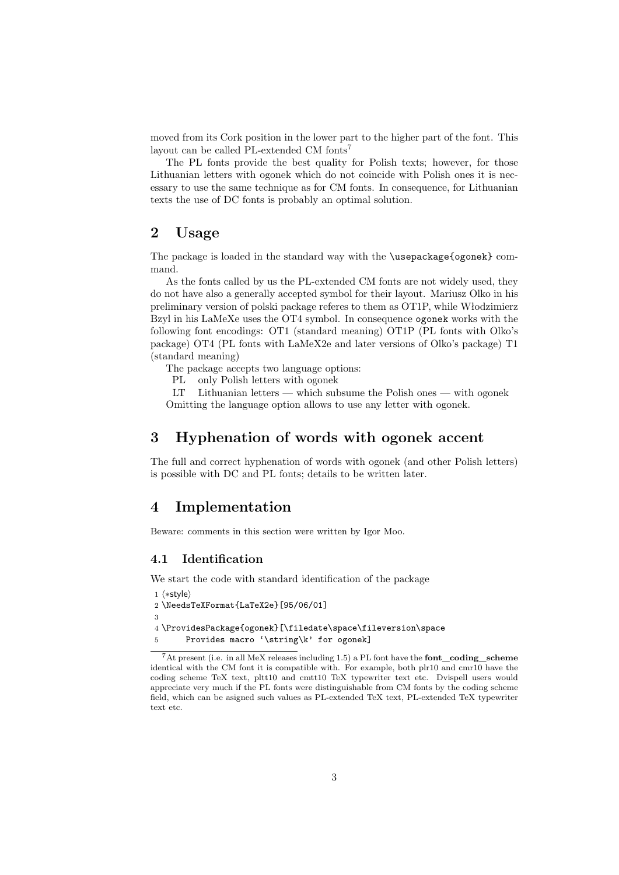moved from its Cork position in the lower part to the higher part of the font. This layout can be called PL-extended CM fonts<sup>7</sup>

The PL fonts provide the best quality for Polish texts; however, for those Lithuanian letters with ogonek which do not coincide with Polish ones it is necessary to use the same technique as for CM fonts. In consequence, for Lithuanian texts the use of DC fonts is probably an optimal solution.

# **2 Usage**

The package is loaded in the standard way with the \usepackage{ogonek} command.

As the fonts called by us the PL-extended CM fonts are not widely used, they do not have also a generally accepted symbol for their layout. Mariusz Olko in his preliminary version of polski package referes to them as OT1P, while Włodzimierz Bzyl in his LaMeXe uses the OT4 symbol. In consequence ogonek works with the following font encodings: OT1 (standard meaning) OT1P (PL fonts with Olko's package) OT4 (PL fonts with LaMeX2e and later versions of Olko's package) T1 (standard meaning)

The package accepts two language options:

PL only Polish letters with ogonek

LT Lithuanian letters — which subsume the Polish ones — with ogonek Omitting the language option allows to use any letter with ogonek.

# **3 Hyphenation of words with ogonek accent**

The full and correct hyphenation of words with ogonek (and other Polish letters) is possible with DC and PL fonts; details to be written later.

### **4 Implementation**

Beware: comments in this section were written by Igor Moo.

### **4.1 Identification**

We start the code with standard identification of the package

```
1 \langle *style \rangle2 \NeedsTeXFormat{LaTeX2e}[95/06/01]
\overline{3}4 \ProvidesPackage{ogonek}[\filedate\space\fileversion\space
5 Provides macro '\string\k' for ogonek]
```
<sup>7</sup>At present (i.e. in all MeX releases including 1.5) a PL font have the **font\_coding\_scheme** identical with the CM font it is compatible with. For example, both plr10 and cmr10 have the coding scheme TeX text, pltt10 and cmtt10 TeX typewriter text etc. Dvispell users would appreciate very much if the PL fonts were distinguishable from CM fonts by the coding scheme field, which can be asigned such values as PL-extended TeX text, PL-extended TeX typewriter text etc.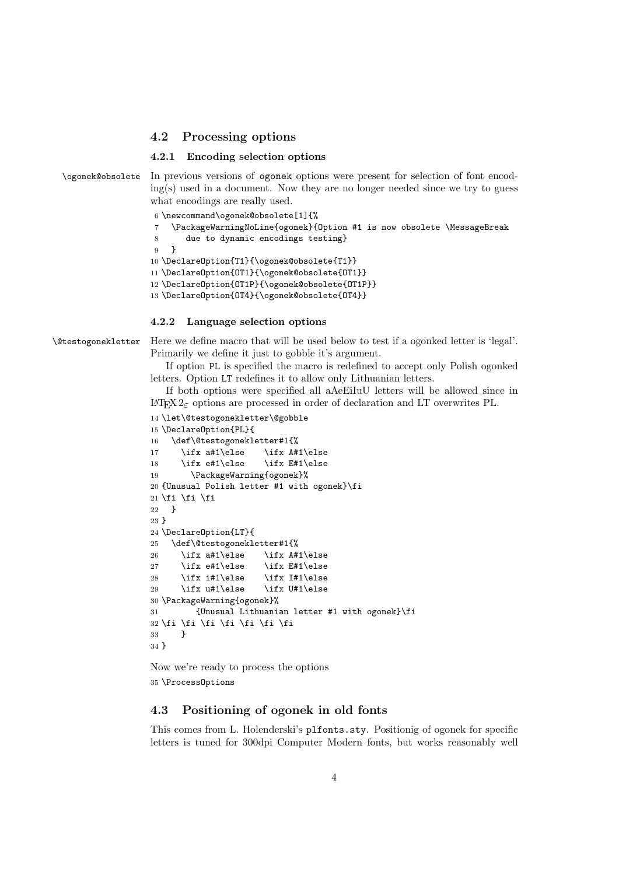### **4.2 Processing options**

#### **4.2.1 Encoding selection options**

\ogonek@obsolete In previous versions of ogonek options were present for selection of font encod $ing(s)$  used in a document. Now they are no longer needed since we try to guess what encodings are really used.

```
6 \newcommand\ogonek@obsolete[1]{%
    7 \PackageWarningNoLine{ogonek}{Option #1 is now obsolete \MessageBreak
8 due to dynamic encodings testing}
9 }
10 \DeclareOption{T1}{\ogonek@obsolete{T1}}
11 \DeclareOption{OT1}{\ogonek@obsolete{OT1}}
12 \DeclareOption{OT1P}{\ogonek@obsolete{OT1P}}
13 \DeclareOption{OT4}{\ogonek@obsolete{OT4}}
```
#### **4.2.2 Language selection options**

\@testogonekletter Here we define macro that will be used below to test if a ogonked letter is 'legal'. Primarily we define it just to gobble it's argument.

> If option PL is specified the macro is redefined to accept only Polish ogonked letters. Option LT redefines it to allow only Lithuanian letters.

> If both options were specified all aAeEiIuU letters will be allowed since in LATEX 2ε options are processed in order of declaration and LT overwrites PL.

```
14 \let\@testogonekletter\@gobble
15 \DeclareOption{PL}{
16 \def\@testogonekletter#1{%
17 \ifx a#1\else \ifx A#1\else
18 \ifx e#1\else \ifx E#1\else
19 \PackageWarning{ogonek}%
20 {Unusual Polish letter #1 with ogonek}\fi
21 \over 1 \over 1 \over 122 - 323 }
24 \DeclareOption{LT}{
25 \def\@testogonekletter#1{%
26 \ifx a#1\else \ifx A#1\else
27 \ifx e#1\else \ifx E#1\else
28 \ifx i#1\else \ifx I#1\else
29 \ifx u#1\else \ifx U#1\else
30 \PackageWarning{ogonek}%
31 {Unusual Lithuanian letter #1 with ogonek}\fi
32 \fi \fi \fi \fi \fi \fi \fi
33 }
34 }
```
Now we're ready to process the options 35 \ProcessOptions

### **4.3 Positioning of ogonek in old fonts**

This comes from L. Holenderski's plfonts.sty. Positionig of ogonek for specific letters is tuned for 300dpi Computer Modern fonts, but works reasonably well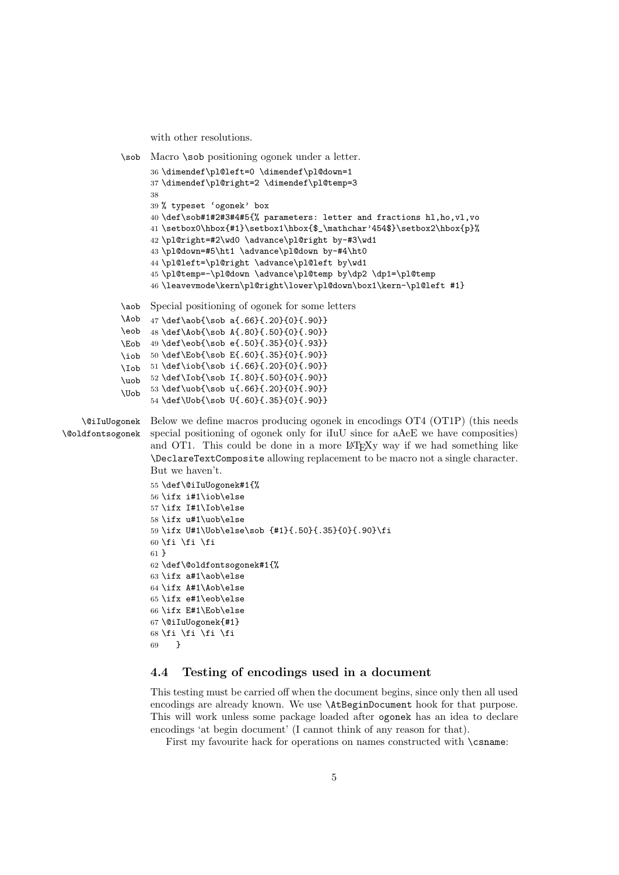with other resolutions.

```
\sob Macro \sob positioning ogonek under a letter.
                  36 \dimendef\pl@left=0 \dimendef\pl@down=1
                  37 \dimendef\pl@right=2 \dimendef\pl@temp=3
                  38
                  39 % typeset 'ogonek' box
                  40 \def\sob#1#2#3#4#5{% parameters: letter and fractions hl,ho,vl,vo
                  41 \setbox0\hbox{#1}\setbox1\hbox{$_\mathchar'454$}\setbox2\hbox{p}%
                  42 \pl@right=#2\wd0 \advance\pl@right by-#3\wd1
                  43 \pl@down=#5\ht1 \advance\pl@down by-#4\ht0
                  44 \pl@left=\pl@right \advance\pl@left by\wd1
                  45 \pl@temp=-\pl@down \advance\pl@temp by\dp2 \dp1=\pl@temp
                  46 \leavevmode\kern\pl@right\lower\pl@down\box1\kern-\pl@left #1}
            \aob
Special positioning of ogonek for some letters
            \Aob
            \eob
            \Eob
49 \def\eob{\sob e{.50}{.35}{0}{.93}}
            \iob
50 \def\Eob{\sob E{.60}{.35}{0}{.90}}
            \Iob
51 \def\iob{\sob i{.66}{.20}{0}{.90}}
            \uob 52 \def\Iob{\sob I{.80}{.50}{0}{.90}}
            \Uob
                  47 \def\aob{\sob a{.66}{.20}{0}{.90}}
                  48 \def\Aob{\sob A{.80}{.50}{0}{.90}}
                  53 \def\uob{\sob u{.66}{.20}{0}{.90}}
                  54 \def\Uob{\sob U{.60}{.35}{0}{.90}}
    \@iIuUogonek
\@oldfontsogonek
                  Below we define macros producing ogonek in encodings OT4 (OT1P) (this needs
                  special positioning of ogonek only for iIuU since for aAeE we have composities)
                  and OT1. This could be done in a more LAT<sub>EXY</sub> way if we had something like
                  \DeclareTextComposite allowing replacement to be macro not a single character.
                  But we haven't.
                  55 \def\@iIuUogonek#1{%
                  56 \ifx i#1\iob\else
                  57 \ifx I#1\Iob\else
                  58 \ifx u#1\uob\else
                  59 \ifx U#1\Uob\else\sob {#1}{.50}{.35}{0}{.90}\fi
                  60 \fi \fi \fi
                  61 }
                  62 \def\@oldfontsogonek#1{%
                  63 \ifx a#1\aob\else
                  64 \ifx A#1\Aob\else
                  65 \ifx e#1\eob\else
                  66 \ifx E#1\Eob\else
                  67 \@iIuUogonek{#1}
                  68 \fi \fi \fi \fi
                  69 }
```
### **4.4 Testing of encodings used in a document**

This testing must be carried off when the document begins, since only then all used encodings are already known. We use \AtBeginDocument hook for that purpose. This will work unless some package loaded after ogonek has an idea to declare encodings 'at begin document' (I cannot think of any reason for that).

First my favourite hack for operations on names constructed with  $\zeta$  and  $\zeta$ :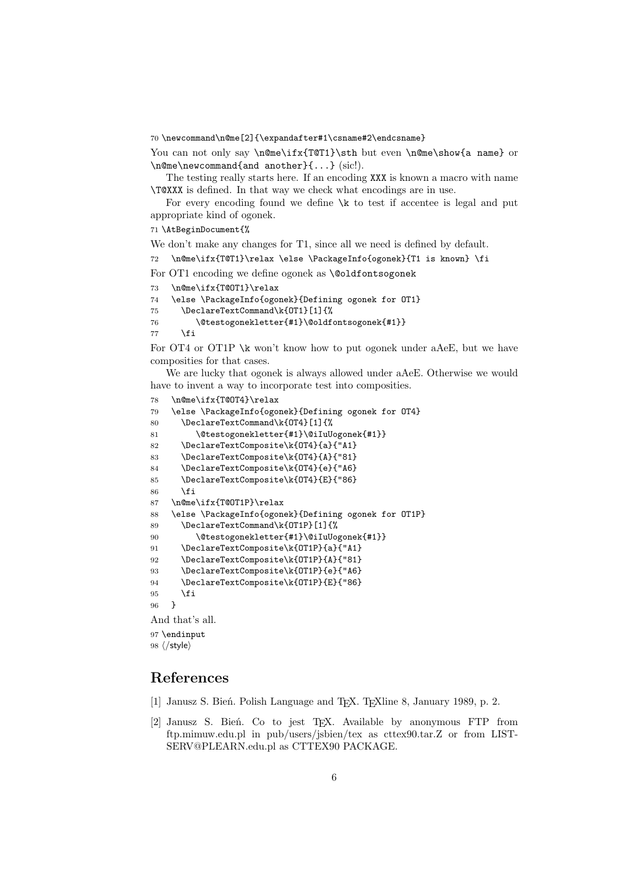70 \newcommand\n@me[2]{\expandafter#1\csname#2\endcsname}

You can not only say \n@me\ifx{T@T1}\sth but even \n@me\show{a name} or \n@me\newcommand{and another}{...} (sic!).

The testing really starts here. If an encoding XXX is known a macro with name \T@XXX is defined. In that way we check what encodings are in use.

For every encoding found we define  $\kappa$  to test if accentee is legal and put appropriate kind of ogonek.

#### 71 \AtBeginDocument{%

We don't make any changes for T1, since all we need is defined by default.

```
72 \n@me\ifx{T@T1}\relax \else \PackageInfo{ogonek}{T1 is known} \fi
```

```
For OT1 encoding we define ogonek as \@oldfontsogonek
```

```
73 \n@me\ifx{T@OT1}\relax
```

```
74 \else \PackageInfo{ogonek}{Defining ogonek for OT1}
```

```
75 \DeclareTextCommand\k{OT1}[1]{%
```

```
76 \@testogonekletter{#1}\@oldfontsogonek{#1}}
```
 $77$  \fi

For OT4 or OT1P \k won't know how to put ogonek under aAeE, but we have composities for that cases.

We are lucky that ogonek is always allowed under aAeE. Otherwise we would have to invent a way to incorporate test into composities.

```
78 \n@me\ifx{T@OT4}\relax
79 \else \PackageInfo{ogonek}{Defining ogonek for OT4}
80 \DeclareTextCommand\k{OT4}[1]{%
81 \@testogonekletter{#1}\@iIuUogonek{#1}}
82 \DeclareTextComposite\k{OT4}{a}{"A1}
83 \DeclareTextComposite\k{OT4}{A}{"81}
84 \DeclareTextComposite\k{OT4}{e}{"A6}
85 \DeclareTextComposite\k{OT4}{E}{"86}
86 \overline{\phantom{0}} \fi
87 \n@me\ifx{T@OT1P}\relax
88 \else \PackageInfo{ogonek}{Defining ogonek for OT1P}
89 \DeclareTextCommand\k{OT1P}[1]{%
90 \@testogonekletter{#1}\@iIuUogonek{#1}}
91 \DeclareTextComposite\k{OT1P}{a}{"A1}
92 \DeclareTextComposite\k{OT1P}{A}{"81}
93 \DeclareTextComposite\k{OT1P}{e}{"A6}
94 \DeclareTextComposite\k{OT1P}{E}{"86}
95 \overline{\text{fi}}96 }
And that's all.
97 \endinput
```
98  $\langle$ /style $\rangle$ 

# **References**

- [1] Janusz S. Bień. Polish Language and T<sub>E</sub>X. T<sub>E</sub>Xline 8, January 1989, p. 2.
- [2] Janusz S. Bień. Co to jest TFX. Available by anonymous FTP from ftp.mimuw.edu.pl in pub/users/jsbien/tex as cttex90.tar.Z or from LIST-SERV@PLEARN.edu.pl as CTTEX90 PACKAGE.